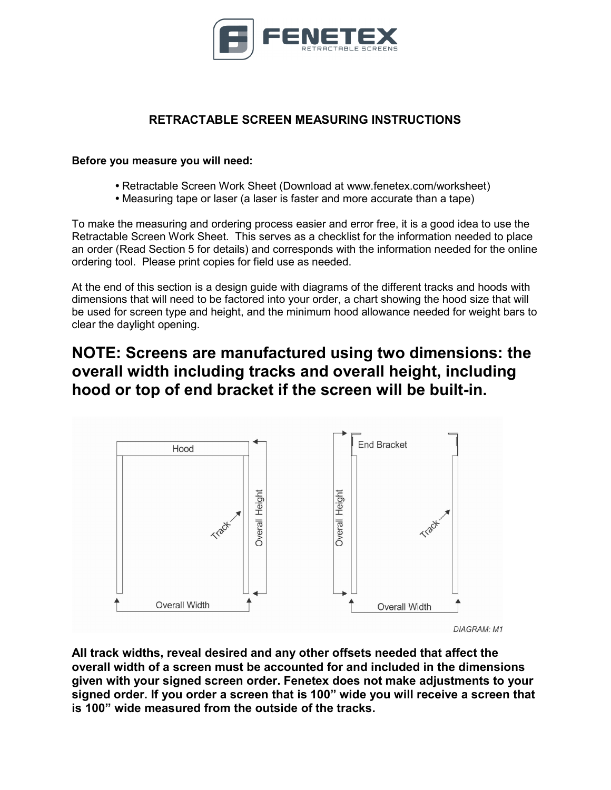

## RETRACTABLE SCREEN MEASURING INSTRUCTIONS

## Before you measure you will need:

- Retractable Screen Work Sheet (Download at www.fenetex.com/worksheet)
- Measuring tape or laser (a laser is faster and more accurate than a tape)

To make the measuring and ordering process easier and error free, it is a good idea to use the Retractable Screen Work Sheet. This serves as a checklist for the information needed to place an order (Read Section 5 for details) and corresponds with the information needed for the online ordering tool. Please print copies for field use as needed.

At the end of this section is a design guide with diagrams of the different tracks and hoods with dimensions that will need to be factored into your order, a chart showing the hood size that will be used for screen type and height, and the minimum hood allowance needed for weight bars to clear the daylight opening.

## NOTE: Screens are manufactured using two dimensions: the overall width including tracks and overall height, including hood or top of end bracket if the screen will be built-in.



All track widths, reveal desired and any other offsets needed that affect the overall width of a screen must be accounted for and included in the dimensions given with your signed screen order. Fenetex does not make adjustments to your signed order. If you order a screen that is 100" wide you will receive a screen that is 100" wide measured from the outside of the tracks.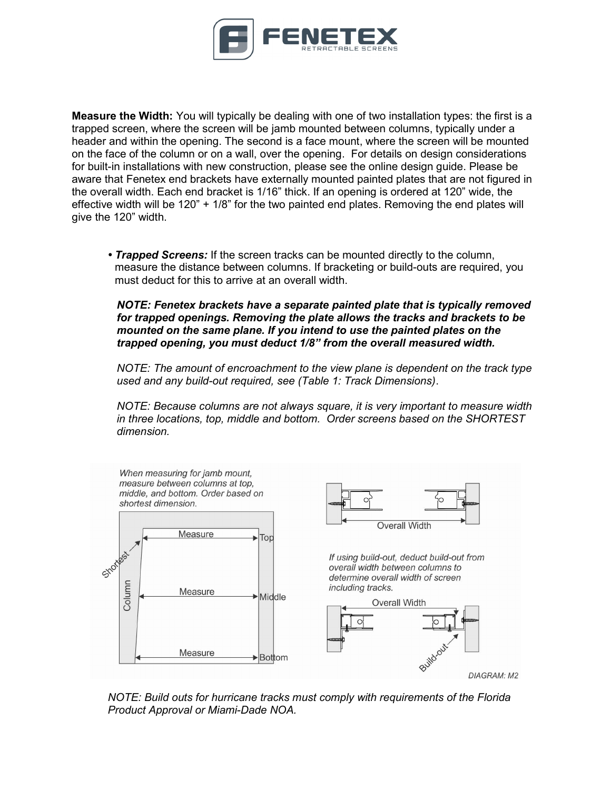

Measure the Width: You will typically be dealing with one of two installation types: the first is a trapped screen, where the screen will be jamb mounted between columns, typically under a header and within the opening. The second is a face mount, where the screen will be mounted on the face of the column or on a wall, over the opening. For details on design considerations for built-in installations with new construction, please see the online design guide. Please be aware that Fenetex end brackets have externally mounted painted plates that are not figured in the overall width. Each end bracket is 1/16" thick. If an opening is ordered at 120" wide, the effective width will be 120" + 1/8" for the two painted end plates. Removing the end plates will give the 120" width.

• **Trapped Screens:** If the screen tracks can be mounted directly to the column, measure the distance between columns. If bracketing or build-outs are required, you must deduct for this to arrive at an overall width.

NOTE: Fenetex brackets have a separate painted plate that is typically removed for trapped openings. Removing the plate allows the tracks and brackets to be mounted on the same plane. If you intend to use the painted plates on the trapped opening, you must deduct 1/8" from the overall measured width.

NOTE: The amount of encroachment to the view plane is dependent on the track type used and any build-out required, see (Table 1: Track Dimensions).

NOTE: Because columns are not always square, it is very important to measure width in three locations, top, middle and bottom. Order screens based on the SHORTEST dimension.



NOTE: Build outs for hurricane tracks must comply with requirements of the Florida Product Approval or Miami-Dade NOA.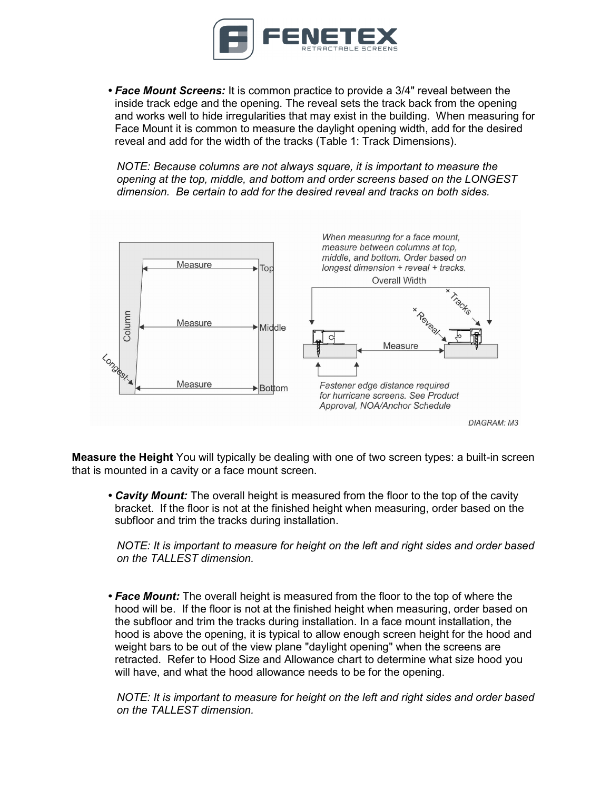

• Face Mount Screens: It is common practice to provide a 3/4" reveal between the inside track edge and the opening. The reveal sets the track back from the opening and works well to hide irregularities that may exist in the building. When measuring for Face Mount it is common to measure the daylight opening width, add for the desired reveal and add for the width of the tracks (Table 1: Track Dimensions).

NOTE: Because columns are not always square, it is important to measure the opening at the top, middle, and bottom and order screens based on the LONGEST dimension. Be certain to add for the desired reveal and tracks on both sides.



Measure the Height You will typically be dealing with one of two screen types: a built-in screen that is mounted in a cavity or a face mount screen.

• Cavity Mount: The overall height is measured from the floor to the top of the cavity bracket. If the floor is not at the finished height when measuring, order based on the subfloor and trim the tracks during installation.

NOTE: It is important to measure for height on the left and right sides and order based on the TALLEST dimension.

• Face Mount: The overall height is measured from the floor to the top of where the hood will be. If the floor is not at the finished height when measuring, order based on the subfloor and trim the tracks during installation. In a face mount installation, the hood is above the opening, it is typical to allow enough screen height for the hood and weight bars to be out of the view plane "daylight opening" when the screens are retracted. Refer to Hood Size and Allowance chart to determine what size hood you will have, and what the hood allowance needs to be for the opening.

NOTE: It is important to measure for height on the left and right sides and order based on the TALLEST dimension.